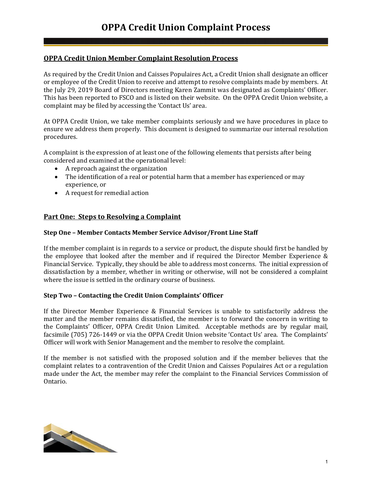# **OPPA Credit Union Member Complaint Resolution Process**

As required by the Credit Union and Caisses Populaires Act, a Credit Union shall designate an officer or employee of the Credit Union to receive and attempt to resolve complaints made by members. At the July 29, 2019 Board of Directors meeting Karen Zammit was designated as Complaints' Officer. This has been reported to FSCO and is listed on their website. On the OPPA Credit Union website, a complaint may be filed by accessing the 'Contact Us' area.

At OPPA Credit Union, we take member complaints seriously and we have procedures in place to ensure we address them properly. This document is designed to summarize our internal resolution procedures.

A complaint is the expression of at least one of the following elements that persists after being considered and examined at the operational level:

- A reproach against the organization
- The identification of a real or potential harm that a member has experienced or may experience, or
- A request for remedial action

### **Part One: Steps to Resolving a Complaint**

#### **Step One – Member Contacts Member Service Advisor/Front Line Staff**

If the member complaint is in regards to a service or product, the dispute should first be handled by the employee that looked after the member and if required the Director Member Experience & Financial Service. Typically, they should be able to address most concerns. The initial expression of dissatisfaction by a member, whether in writing or otherwise, will not be considered a complaint where the issue is settled in the ordinary course of business.

### **Step Two – Contacting the Credit Union Complaints' Officer**

If the Director Member Experience & Financial Services is unable to satisfactorily address the matter and the member remains dissatisfied, the member is to forward the concern in writing to the Complaints' Officer, OPPA Credit Union Limited. Acceptable methods are by regular mail, facsimile (705) 726-1449 or via the OPPA Credit Union website 'Contact Us' area. The Complaints' Officer will work with Senior Management and the member to resolve the complaint.

If the member is not satisfied with the proposed solution and if the member believes that the complaint relates to a contravention of the Credit Union and Caisses Populaires Act or a regulation made under the Act, the member may refer the complaint to the Financial Services Commission of Ontario.